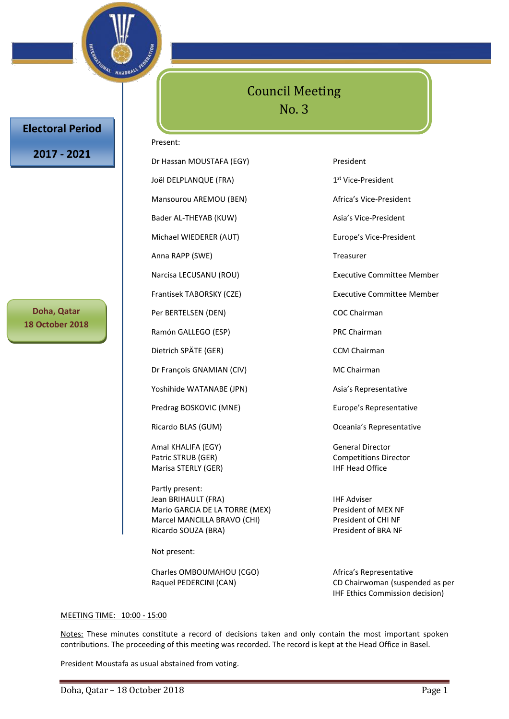

# **Electoral Period**

# **2017 - 2021**

**Doha, Qatar 18 October 2018**

# Council Meeting No. 3

#### Present:

Dr Hassan MOUSTAFA (EGY) President Joël DELPLANQUE (FRA) Mansourou AREMOU (BEN) Africa's Vice-President Bader AL-THEYAB (KUW) Asia's Vice-President Michael WIEDERER (AUT) Europe's Vice-President Anna RAPP (SWE) Treasurer Per BERTELSEN (DEN) COC Chairman Ramón GALLEGO (ESP) PRC Chairman Dietrich SPÄTE (GER) CCM Chairman Dr François GNAMIAN (CIV) MC Chairman Yoshihide WATANABE (JPN) Asia's Representative Predrag BOSKOVIC (MNE) Europe's Representative Ricardo BLAS (GUM) Creania's Representative

Amal KHALIFA (EGY) General Director Marisa STERLY (GER) STERLY (GER)

Partly present: Jean BRIHAULT (FRA) **IHF Adviser** Mario GARCIA DE LA TORRE (MEX) President of MEX NF Marcel MANCILLA BRAVO (CHI) President of CHI NF Ricardo SOUZA (BRA) President of BRA NF

Not present:

Charles OMBOUMAHOU (CGO) Africa's Representative

1<sup>st</sup> Vice-President Narcisa LECUSANU (ROU) Executive Committee Member Frantisek TABORSKY (CZE) Frantisek TABORSKY (CZE)

Patric STRUB (GER) Competitions Director

Raquel PEDERCINI (CAN) CD Chairwoman (suspended as per IHF Ethics Commission decision)

#### MEETING TIME: 10:00 - 15:00

Notes: These minutes constitute a record of decisions taken and only contain the most important spoken contributions. The proceeding of this meeting was recorded. The record is kept at the Head Office in Basel.

President Moustafa as usual abstained from voting.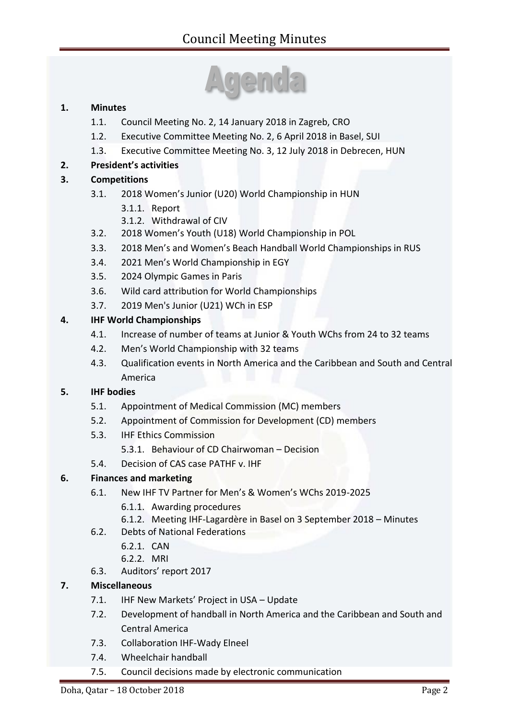# **1. Minutes**

- 1.1. Council Meeting No. 2, 14 January 2018 in Zagreb, CRO
- 1.2. Executive Committee Meeting No. 2, 6 April 2018 in Basel, SUI
- 1.3. Executive Committee Meeting No. 3, 12 July 2018 in Debrecen, HUN

# **2. President's activities**

# **3. Competitions**

- 3.1. 2018 Women's Junior (U20) World Championship in HUN
	- 3.1.1. Report
	- 3.1.2. Withdrawal of CIV
- 3.2. 2018 Women's Youth (U18) World Championship in POL
- 3.3. 2018 Men's and Women's Beach Handball World Championships in RUS
- 3.4. 2021 Men's World Championship in EGY
- 3.5. 2024 Olympic Games in Paris
- 3.6. Wild card attribution for World Championships
- 3.7. 2019 Men's Junior (U21) WCh in ESP

# **4. IHF World Championships**

- 4.1. Increase of number of teams at Junior & Youth WChs from 24 to 32 teams
- 4.2. Men's World Championship with 32 teams
- 4.3. Qualification events in North America and the Caribbean and South and Central America

# **5. IHF bodies**

- 5.1. Appointment of Medical Commission (MC) members
- 5.2. Appointment of Commission for Development (CD) members
- 5.3. IHF Ethics Commission
	- 5.3.1. Behaviour of CD Chairwoman Decision
- 5.4. Decision of CAS case PATHF v. IHF

# **6. Finances and marketing**

- 6.1. New IHF TV Partner for Men's & Women's WChs 2019-2025
	- 6.1.1. Awarding procedures
	- 6.1.2. Meeting IHF-Lagardère in Basel on 3 September 2018 Minutes
- 6.2. Debts of National Federations
	- 6.2.1. CAN
	- 6.2.2. MRI
- 6.3. Auditors' report 2017

# **7. Miscellaneous**

- 7.1. IHF New Markets' Project in USA Update
- 7.2. Development of handball in North America and the Caribbean and South and Central America
- 7.3. Collaboration IHF-Wady Elneel
- 7.4. Wheelchair handball
- 7.5. Council decisions made by electronic communication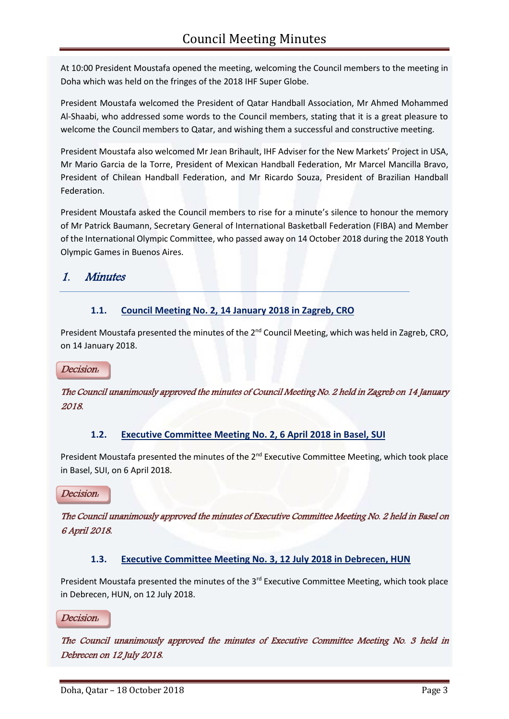At 10:00 President Moustafa opened the meeting, welcoming the Council members to the meeting in Doha which was held on the fringes of the 2018 IHF Super Globe.

President Moustafa welcomed the President of Qatar Handball Association, Mr Ahmed Mohammed Al-Shaabi, who addressed some words to the Council members, stating that it is a great pleasure to welcome the Council members to Qatar, and wishing them a successful and constructive meeting.

President Moustafa also welcomed Mr Jean Brihault, IHF Adviser for the New Markets' Project in USA, Mr Mario Garcia de la Torre, President of Mexican Handball Federation, Mr Marcel Mancilla Bravo, President of Chilean Handball Federation, and Mr Ricardo Souza, President of Brazilian Handball Federation.

President Moustafa asked the Council members to rise for a minute's silence to honour the memory of Mr Patrick Baumann, Secretary General of International Basketball Federation (FIBA) and Member of the International Olympic Committee, who passed away on 14 October 2018 during the 2018 Youth Olympic Games in Buenos Aires.

# 1. Minutes

# **1.1. Council Meeting No. 2, 14 January 2018 in Zagreb, CRO**

President Moustafa presented the minutes of the 2<sup>nd</sup> Council Meeting, which was held in Zagreb, CRO, on 14 January 2018.

# Decision:

The Council unanimously approved the minutes of Council Meeting No. 2 held in Zagreb on 14 January 2018.

# **1.2. Executive Committee Meeting No. 2, 6 April 2018 in Basel, SUI**

President Moustafa presented the minutes of the 2<sup>nd</sup> Executive Committee Meeting, which took place in Basel, SUI, on 6 April 2018.

Decision:

The Council unanimously approved the minutes of Executive Committee Meeting No. 2 held in Basel on 6 April 2018.

# **1.3. Executive Committee Meeting No. 3, 12 July 2018 in Debrecen, HUN**

President Moustafa presented the minutes of the 3<sup>rd</sup> Executive Committee Meeting, which took place in Debrecen, HUN, on 12 July 2018.

Decision:

The Council unanimously approved the minutes of Executive Committee Meeting No. 3 held in Debrecen on 12 July 2018.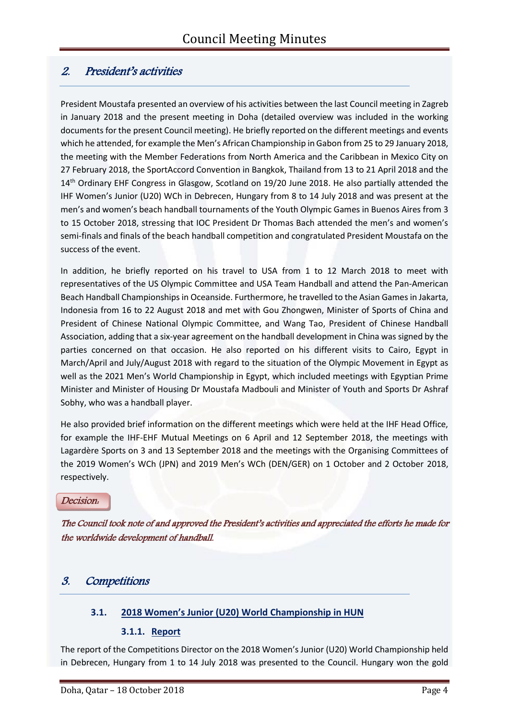# 2. President's activities

President Moustafa presented an overview of his activities between the last Council meeting in Zagreb in January 2018 and the present meeting in Doha (detailed overview was included in the working documents for the present Council meeting). He briefly reported on the different meetings and events which he attended, for example the Men's African Championship in Gabon from 25 to 29 January 2018, the meeting with the Member Federations from North America and the Caribbean in Mexico City on 27 February 2018, the SportAccord Convention in Bangkok, Thailand from 13 to 21 April 2018 and the 14<sup>th</sup> Ordinary EHF Congress in Glasgow, Scotland on 19/20 June 2018. He also partially attended the IHF Women's Junior (U20) WCh in Debrecen, Hungary from 8 to 14 July 2018 and was present at the men's and women's beach handball tournaments of the Youth Olympic Games in Buenos Aires from 3 to 15 October 2018, stressing that IOC President Dr Thomas Bach attended the men's and women's semi-finals and finals of the beach handball competition and congratulated President Moustafa on the success of the event.

In addition, he briefly reported on his travel to USA from 1 to 12 March 2018 to meet with representatives of the US Olympic Committee and USA Team Handball and attend the Pan-American Beach Handball Championships in Oceanside. Furthermore, he travelled to the Asian Games in Jakarta, Indonesia from 16 to 22 August 2018 and met with Gou Zhongwen, Minister of Sports of China and President of Chinese National Olympic Committee, and Wang Tao, President of Chinese Handball Association, adding that a six-year agreement on the handball development in China was signed by the parties concerned on that occasion. He also reported on his different visits to Cairo, Egypt in March/April and July/August 2018 with regard to the situation of the Olympic Movement in Egypt as well as the 2021 Men's World Championship in Egypt, which included meetings with Egyptian Prime Minister and Minister of Housing Dr Moustafa Madbouli and Minister of Youth and Sports Dr Ashraf Sobhy, who was a handball player.

He also provided brief information on the different meetings which were held at the IHF Head Office, for example the IHF-EHF Mutual Meetings on 6 April and 12 September 2018, the meetings with Lagardère Sports on 3 and 13 September 2018 and the meetings with the Organising Committees of the 2019 Women's WCh (JPN) and 2019 Men's WCh (DEN/GER) on 1 October and 2 October 2018, respectively.

#### Decision:

The Council took note of and approved the President's activities and appreciated the efforts he made for the worldwide development of handball.

# 3. Competitions

# **3.1. 2018 Women's Junior (U20) World Championship in HUN**

# **3.1.1. Report**

The report of the Competitions Director on the 2018 Women's Junior (U20) World Championship held in Debrecen, Hungary from 1 to 14 July 2018 was presented to the Council. Hungary won the gold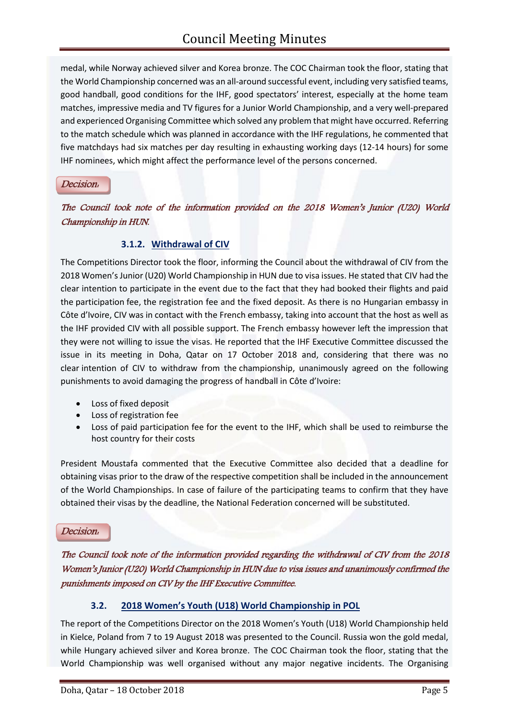medal, while Norway achieved silver and Korea bronze. The COC Chairman took the floor, stating that the World Championship concerned was an all-around successful event, including very satisfied teams, good handball, good conditions for the IHF, good spectators' interest, especially at the home team matches, impressive media and TV figures for a Junior World Championship, and a very well-prepared and experienced Organising Committee which solved any problem that might have occurred. Referring to the match schedule which was planned in accordance with the IHF regulations, he commented that five matchdays had six matches per day resulting in exhausting working days (12-14 hours) for some IHF nominees, which might affect the performance level of the persons concerned.

### Decision:

The Council took note of the information provided on the 2018 Women's Junior (U20) World Championship in HUN.

# **3.1.2. Withdrawal of CIV**

The Competitions Director took the floor, informing the Council about the withdrawal of CIV from the 2018 Women's Junior (U20) World Championship in HUN due to visa issues. He stated that CIV had the clear intention to participate in the event due to the fact that they had booked their flights and paid the participation fee, the registration fee and the fixed deposit. As there is no Hungarian embassy in Côte d'Ivoire, CIV was in contact with the French embassy, taking into account that the host as well as the IHF provided CIV with all possible support. The French embassy however left the impression that they were not willing to issue the visas. He reported that the IHF Executive Committee discussed the issue in its meeting in Doha, Qatar on 17 October 2018 and, considering that there was no clear intention of CIV to withdraw from the championship, unanimously agreed on the following punishments to avoid damaging the progress of handball in Côte d'Ivoire:

- Loss of fixed deposit
- Loss of registration fee
- Loss of paid participation fee for the event to the IHF, which shall be used to reimburse the host country for their costs

President Moustafa commented that the Executive Committee also decided that a deadline for obtaining visas prior to the draw of the respective competition shall be included in the announcement of the World Championships. In case of failure of the participating teams to confirm that they have obtained their visas by the deadline, the National Federation concerned will be substituted.

#### Decision:

The Council took note of the information provided regarding the withdrawal of CIV from the 2018 Women's Junior (U20) World Championship in HUN due to visa issues and unanimously confirmed the punishments imposed on CIV by the IHF Executive Committee.

# **3.2. 2018 Women's Youth (U18) World Championship in POL**

The report of the Competitions Director on the 2018 Women's Youth (U18) World Championship held in Kielce, Poland from 7 to 19 August 2018 was presented to the Council. Russia won the gold medal, while Hungary achieved silver and Korea bronze. The COC Chairman took the floor, stating that the World Championship was well organised without any major negative incidents. The Organising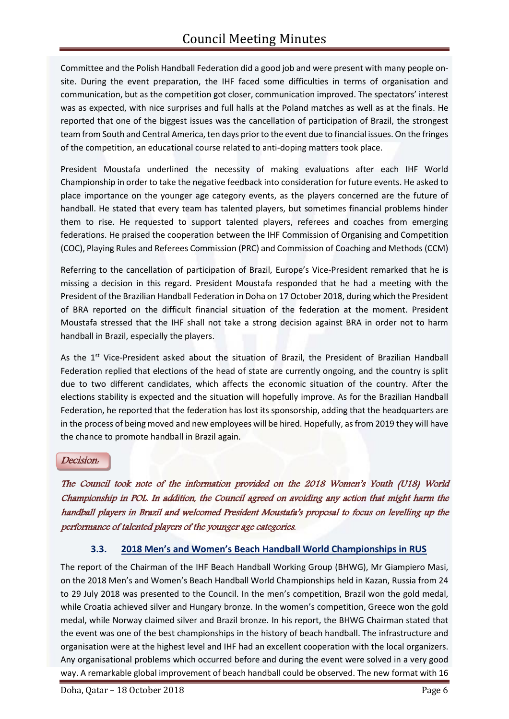Committee and the Polish Handball Federation did a good job and were present with many people onsite. During the event preparation, the IHF faced some difficulties in terms of organisation and communication, but as the competition got closer, communication improved. The spectators' interest was as expected, with nice surprises and full halls at the Poland matches as well as at the finals. He reported that one of the biggest issues was the cancellation of participation of Brazil, the strongest team from South and Central America, ten days prior to the event due to financial issues. On the fringes of the competition, an educational course related to anti-doping matters took place.

President Moustafa underlined the necessity of making evaluations after each IHF World Championship in order to take the negative feedback into consideration for future events. He asked to place importance on the younger age category events, as the players concerned are the future of handball. He stated that every team has talented players, but sometimes financial problems hinder them to rise. He requested to support talented players, referees and coaches from emerging federations. He praised the cooperation between the IHF Commission of Organising and Competition (COC), Playing Rules and Referees Commission (PRC) and Commission of Coaching and Methods (CCM)

Referring to the cancellation of participation of Brazil, Europe's Vice-President remarked that he is missing a decision in this regard. President Moustafa responded that he had a meeting with the President of the Brazilian Handball Federation in Doha on 17 October 2018, during which the President of BRA reported on the difficult financial situation of the federation at the moment. President Moustafa stressed that the IHF shall not take a strong decision against BRA in order not to harm handball in Brazil, especially the players.

As the 1<sup>st</sup> Vice-President asked about the situation of Brazil, the President of Brazilian Handball Federation replied that elections of the head of state are currently ongoing, and the country is split due to two different candidates, which affects the economic situation of the country. After the elections stability is expected and the situation will hopefully improve. As for the Brazilian Handball Federation, he reported that the federation has lost its sponsorship, adding that the headquarters are in the process of being moved and new employees will be hired. Hopefully, as from 2019 they will have the chance to promote handball in Brazil again.

#### Decision:

The Council took note of the information provided on the 2018 Women's Youth (U18) World Championship in POL. In addition, the Council agreed on avoiding any action that might harm the handball players in Brazil and welcomed President Moustafa's proposal to focus on levelling up the performance of talented players of the younger age categories.

# **3.3. 2018 Men's and Women's Beach Handball World Championships in RUS**

The report of the Chairman of the IHF Beach Handball Working Group (BHWG), Mr Giampiero Masi, on the 2018 Men's and Women's Beach Handball World Championships held in Kazan, Russia from 24 to 29 July 2018 was presented to the Council. In the men's competition, Brazil won the gold medal, while Croatia achieved silver and Hungary bronze. In the women's competition, Greece won the gold medal, while Norway claimed silver and Brazil bronze. In his report, the BHWG Chairman stated that the event was one of the best championships in the history of beach handball. The infrastructure and organisation were at the highest level and IHF had an excellent cooperation with the local organizers. Any organisational problems which occurred before and during the event were solved in a very good way. A remarkable global improvement of beach handball could be observed. The new format with 16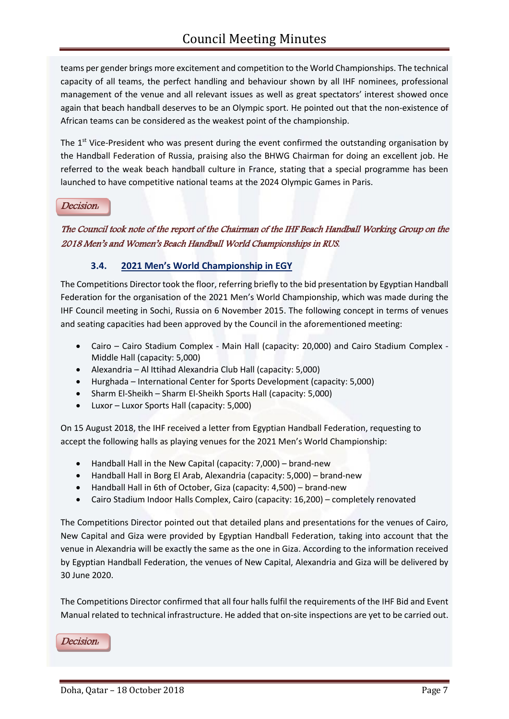teams per gender brings more excitement and competition to the World Championships. The technical capacity of all teams, the perfect handling and behaviour shown by all IHF nominees, professional management of the venue and all relevant issues as well as great spectators' interest showed once again that beach handball deserves to be an Olympic sport. He pointed out that the non-existence of African teams can be considered as the weakest point of the championship.

The  $1<sup>st</sup>$  Vice-President who was present during the event confirmed the outstanding organisation by the Handball Federation of Russia, praising also the BHWG Chairman for doing an excellent job. He referred to the weak beach handball culture in France, stating that a special programme has been launched to have competitive national teams at the 2024 Olympic Games in Paris.

#### Decision:

The Council took note of the report of the Chairman of the IHF Beach Handball Working Group on the 2018 Men's and Women's Beach Handball World Championships in RUS.

# **3.4. 2021 Men's World Championship in EGY**

The Competitions Director took the floor, referring briefly to the bid presentation by Egyptian Handball Federation for the organisation of the 2021 Men's World Championship, which was made during the IHF Council meeting in Sochi, Russia on 6 November 2015. The following concept in terms of venues and seating capacities had been approved by the Council in the aforementioned meeting:

- Cairo Cairo Stadium Complex Main Hall (capacity: 20,000) and Cairo Stadium Complex Middle Hall (capacity: 5,000)
- Alexandria Al Ittihad Alexandria Club Hall (capacity: 5,000)
- Hurghada International Center for Sports Development (capacity: 5,000)
- Sharm El-Sheikh Sharm El-Sheikh Sports Hall (capacity: 5,000)
- Luxor Luxor Sports Hall (capacity: 5,000)

On 15 August 2018, the IHF received a letter from Egyptian Handball Federation, requesting to accept the following halls as playing venues for the 2021 Men's World Championship:

- Handball Hall in the New Capital (capacity: 7,000) brand-new
- Handball Hall in Borg El Arab, Alexandria (capacity: 5,000) brand-new
- Handball Hall in 6th of October, Giza (capacity: 4,500) brand-new
- Cairo Stadium Indoor Halls Complex, Cairo (capacity: 16,200) completely renovated

The Competitions Director pointed out that detailed plans and presentations for the venues of Cairo, New Capital and Giza were provided by Egyptian Handball Federation, taking into account that the venue in Alexandria will be exactly the same as the one in Giza. According to the information received by Egyptian Handball Federation, the venues of New Capital, Alexandria and Giza will be delivered by 30 June 2020.

The Competitions Director confirmed that all four halls fulfil the requirements of the IHF Bid and Event Manual related to technical infrastructure. He added that on-site inspections are yet to be carried out.

Decision: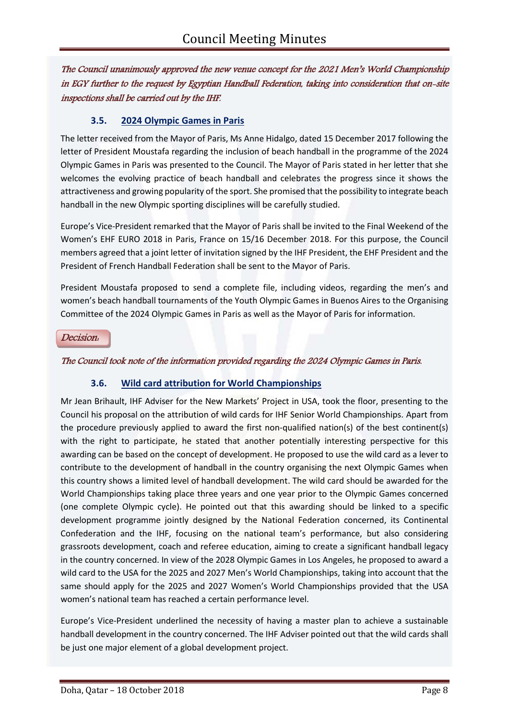The Council unanimously approved the new venue concept for the 2021 Men's World Championship in EGY further to the request by Egyptian Handball Federation, taking into consideration that on-site inspections shall be carried out by the IHF.

# **3.5. 2024 Olympic Games in Paris**

The letter received from the Mayor of Paris, Ms Anne Hidalgo, dated 15 December 2017 following the letter of President Moustafa regarding the inclusion of beach handball in the programme of the 2024 Olympic Games in Paris was presented to the Council. The Mayor of Paris stated in her letter that she welcomes the evolving practice of beach handball and celebrates the progress since it shows the attractiveness and growing popularity of the sport. She promised that the possibility to integrate beach handball in the new Olympic sporting disciplines will be carefully studied.

Europe's Vice-President remarked that the Mayor of Paris shall be invited to the Final Weekend of the Women's EHF EURO 2018 in Paris, France on 15/16 December 2018. For this purpose, the Council members agreed that a joint letter of invitation signed by the IHF President, the EHF President and the President of French Handball Federation shall be sent to the Mayor of Paris.

President Moustafa proposed to send a complete file, including videos, regarding the men's and women's beach handball tournaments of the Youth Olympic Games in Buenos Aires to the Organising Committee of the 2024 Olympic Games in Paris as well as the Mayor of Paris for information.

Decision:

The Council took note of the information provided regarding the 2024 Olympic Games in Paris.

# **3.6. Wild card attribution for World Championships**

Mr Jean Brihault, IHF Adviser for the New Markets' Project in USA, took the floor, presenting to the Council his proposal on the attribution of wild cards for IHF Senior World Championships. Apart from the procedure previously applied to award the first non-qualified nation(s) of the best continent(s) with the right to participate, he stated that another potentially interesting perspective for this awarding can be based on the concept of development. He proposed to use the wild card as a lever to contribute to the development of handball in the country organising the next Olympic Games when this country shows a limited level of handball development. The wild card should be awarded for the World Championships taking place three years and one year prior to the Olympic Games concerned (one complete Olympic cycle). He pointed out that this awarding should be linked to a specific development programme jointly designed by the National Federation concerned, its Continental Confederation and the IHF, focusing on the national team's performance, but also considering grassroots development, coach and referee education, aiming to create a significant handball legacy in the country concerned. In view of the 2028 Olympic Games in Los Angeles, he proposed to award a wild card to the USA for the 2025 and 2027 Men's World Championships, taking into account that the same should apply for the 2025 and 2027 Women's World Championships provided that the USA women's national team has reached a certain performance level.

Europe's Vice-President underlined the necessity of having a master plan to achieve a sustainable handball development in the country concerned. The IHF Adviser pointed out that the wild cards shall be just one major element of a global development project.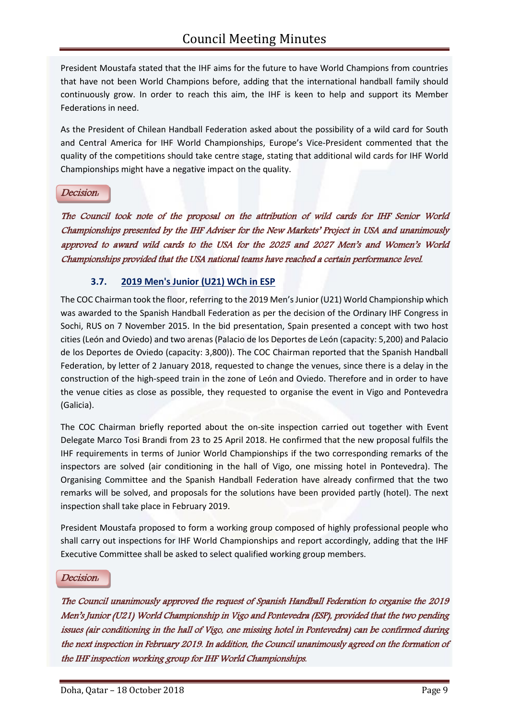President Moustafa stated that the IHF aims for the future to have World Champions from countries that have not been World Champions before, adding that the international handball family should continuously grow. In order to reach this aim, the IHF is keen to help and support its Member Federations in need.

As the President of Chilean Handball Federation asked about the possibility of a wild card for South and Central America for IHF World Championships, Europe's Vice-President commented that the quality of the competitions should take centre stage, stating that additional wild cards for IHF World Championships might have a negative impact on the quality.

### Decision:

The Council took note of the proposal on the attribution of wild cards for IHF Senior World Championships presented by the IHF Adviser for the New Markets' Project in USA and unanimously approved to award wild cards to the USA for the 2025 and 2027 Men's and Women's World Championships provided that the USA national teams have reached a certain performance level.

# **3.7. 2019 Men's Junior (U21) WCh in ESP**

The COC Chairman took the floor, referring to the 2019 Men's Junior (U21) World Championship which was awarded to the Spanish Handball Federation as per the decision of the Ordinary IHF Congress in Sochi, RUS on 7 November 2015. In the bid presentation, Spain presented a concept with two host cities (León and Oviedo) and two arenas (Palacio de los Deportes de León (capacity: 5,200) and Palacio de los Deportes de Oviedo (capacity: 3,800)). The COC Chairman reported that the Spanish Handball Federation, by letter of 2 January 2018, requested to change the venues, since there is a delay in the construction of the high-speed train in the zone of León and Oviedo. Therefore and in order to have the venue cities as close as possible, they requested to organise the event in Vigo and Pontevedra (Galicia).

The COC Chairman briefly reported about the on-site inspection carried out together with Event Delegate Marco Tosi Brandi from 23 to 25 April 2018. He confirmed that the new proposal fulfils the IHF requirements in terms of Junior World Championships if the two corresponding remarks of the inspectors are solved (air conditioning in the hall of Vigo, one missing hotel in Pontevedra). The Organising Committee and the Spanish Handball Federation have already confirmed that the two remarks will be solved, and proposals for the solutions have been provided partly (hotel). The next inspection shall take place in February 2019.

President Moustafa proposed to form a working group composed of highly professional people who shall carry out inspections for IHF World Championships and report accordingly, adding that the IHF Executive Committee shall be asked to select qualified working group members.

# Decision:

The Council unanimously approved the request of Spanish Handball Federation to organise the 2019 Men's Junior (U21) World Championship in Vigo and Pontevedra (ESP), provided that the two pending issues (air conditioning in the hall of Vigo, one missing hotel in Pontevedra) can be confirmed during the next inspection in February 2019. In addition, the Council unanimously agreed on the formation of the IHF inspection working group for IHF World Championships.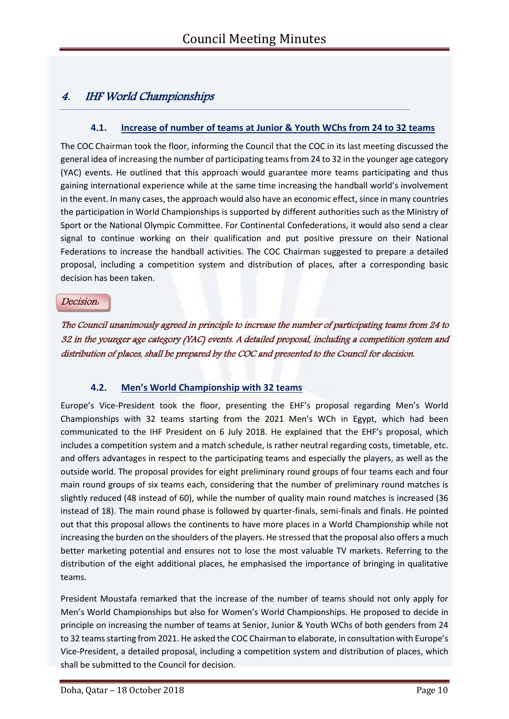# 4. IHF World Championships

# **4.1. Increase of number of teams at Junior & Youth WChs from 24 to 32 teams**

The COC Chairman took the floor, informing the Council that the COC in its last meeting discussed the general idea of increasing the number of participating teams from 24 to 32 in the younger age category (YAC) events. He outlined that this approach would guarantee more teams participating and thus gaining international experience while at the same time increasing the handball world's involvement in the event. In many cases, the approach would also have an economic effect, since in many countries the participation in World Championships is supported by different authorities such as the Ministry of Sport or the National Olympic Committee. For Continental Confederations, it would also send a clear signal to continue working on their qualification and put positive pressure on their National Federations to increase the handball activities. The COC Chairman suggested to prepare a detailed proposal, including a competition system and distribution of places, after a corresponding basic decision has been taken.

#### Decision:

The Council unanimously agreed in principle to increase the number of participating teams from 24 to 32 in the younger age category (YAC) events. A detailed proposal, including a competition system and distribution of places, shall be prepared by the COC and presented to the Council for decision.

# **4.2. Men's World Championship with 32 teams**

Europe's Vice-President took the floor, presenting the EHF's proposal regarding Men's World Championships with 32 teams starting from the 2021 Men's WCh in Egypt, which had been communicated to the IHF President on 6 July 2018. He explained that the EHF's proposal, which includes a competition system and a match schedule, is rather neutral regarding costs, timetable, etc. and offers advantages in respect to the participating teams and especially the players, as well as the outside world. The proposal provides for eight preliminary round groups of four teams each and four main round groups of six teams each, considering that the number of preliminary round matches is slightly reduced (48 instead of 60), while the number of quality main round matches is increased (36 instead of 18). The main round phase is followed by quarter-finals, semi-finals and finals. He pointed out that this proposal allows the continents to have more places in a World Championship while not increasing the burden on the shoulders of the players. He stressed that the proposal also offers a much better marketing potential and ensures not to lose the most valuable TV markets. Referring to the distribution of the eight additional places, he emphasised the importance of bringing in qualitative teams.

President Moustafa remarked that the increase of the number of teams should not only apply for Men's World Championships but also for Women's World Championships. He proposed to decide in principle on increasing the number of teams at Senior, Junior & Youth WChs of both genders from 24 to 32 teams starting from 2021. He asked the COC Chairman to elaborate, in consultation with Europe's Vice-President, a detailed proposal, including a competition system and distribution of places, which shall be submitted to the Council for decision.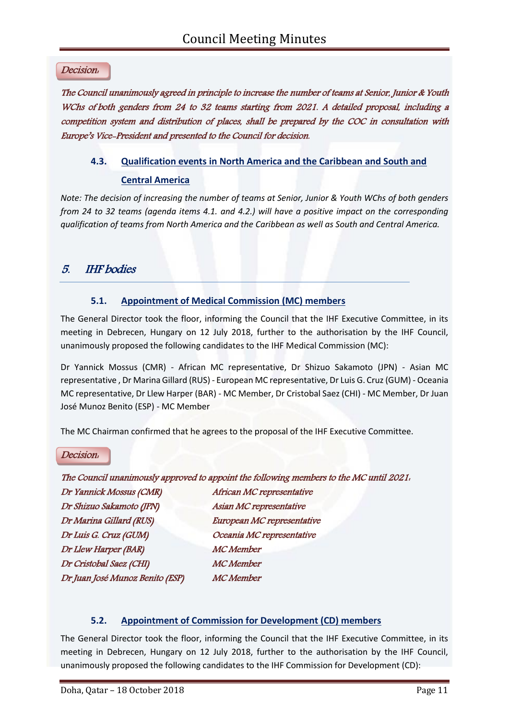### Decision:

The Council unanimously agreed in principle to increase the number of teams at Senior, Junior & Youth WChs of both genders from 24 to 32 teams starting from 2021. A detailed proposal, including a competition system and distribution of places, shall be prepared by the COC in consultation with Europe's Vice-President and presented to the Council for decision.

## **4.3. Qualification events in North America and the Caribbean and South and**

### **Central America**

*Note: The decision of increasing the number of teams at Senior, Junior & Youth WChs of both genders from 24 to 32 teams (agenda items 4.1. and 4.2.) will have a positive impact on the corresponding qualification of teams from North America and the Caribbean as well as South and Central America.*

# 5. IHF bodies

# **5.1. Appointment of Medical Commission (MC) members**

The General Director took the floor, informing the Council that the IHF Executive Committee, in its meeting in Debrecen, Hungary on 12 July 2018, further to the authorisation by the IHF Council, unanimously proposed the following candidates to the IHF Medical Commission (MC):

Dr Yannick Mossus (CMR) - African MC representative, Dr Shizuo Sakamoto (JPN) - Asian MC representative , Dr Marina Gillard (RUS) - European MC representative, Dr Luis G. Cruz (GUM) - Oceania MC representative, Dr Llew Harper (BAR) - MC Member, Dr Cristobal Saez (CHI) - MC Member, Dr Juan José Munoz Benito (ESP) - MC Member

The MC Chairman confirmed that he agrees to the proposal of the IHF Executive Committee.

#### Decision:

# The Council unanimously approved to appoint the following members to the MC until 2021: Dr Yannick Mossus (CMR) African MC representative Dr Shizuo Sakamoto (JPN) Asian MC representative Dr Marina Gillard (RUS) European MC representative Dr Luis G. Cruz (GUM) Oceania MC representative Dr Llew Harper (BAR) MC Member Dr Cristobal Saez (CHI) MC Member Dr Juan José Munoz Benito (ESP) MC Member

# **5.2. Appointment of Commission for Development (CD) members**

The General Director took the floor, informing the Council that the IHF Executive Committee, in its meeting in Debrecen, Hungary on 12 July 2018, further to the authorisation by the IHF Council, unanimously proposed the following candidates to the IHF Commission for Development (CD):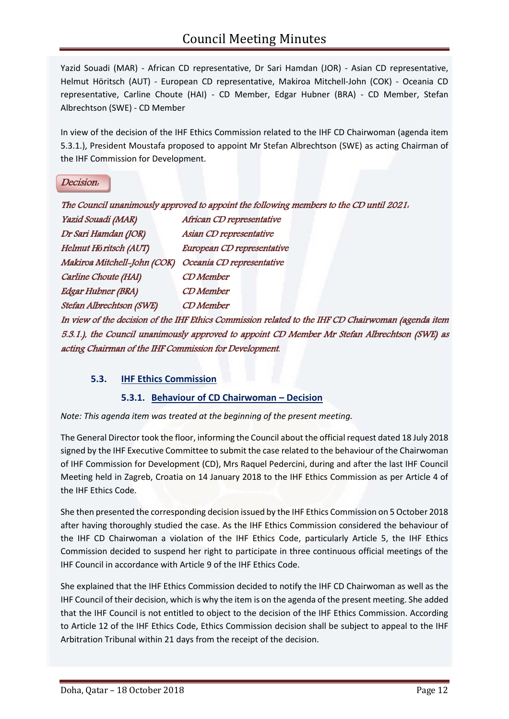Yazid Souadi (MAR) - African CD representative, Dr Sari Hamdan (JOR) - Asian CD representative, Helmut Höritsch (AUT) - European CD representative, Makiroa Mitchell-John (COK) - Oceania CD representative, Carline Choute (HAI) - CD Member, Edgar Hubner (BRA) - CD Member, Stefan Albrechtson (SWE) - CD Member

In view of the decision of the IHF Ethics Commission related to the IHF CD Chairwoman (agenda item 5.3.1.), President Moustafa proposed to appoint Mr Stefan Albrechtson (SWE) as acting Chairman of the IHF Commission for Development.

### Decision:

|                                                                                                    | The Council unanimously approved to appoint the following members to the CD until 2021.       |  |
|----------------------------------------------------------------------------------------------------|-----------------------------------------------------------------------------------------------|--|
| Yazid Souadi (MAR)                                                                                 | African CD representative                                                                     |  |
| Dr Sari Hamdan (JOR)                                                                               | Asian CD representative                                                                       |  |
| Helmut Höritsch (AUT)                                                                              | European CD representative                                                                    |  |
| Makiroa Mitchell-John (COK)                                                                        | Oceania CD representative                                                                     |  |
| Carline Choute (HAI)                                                                               | <b>CD</b> Member                                                                              |  |
| <b>Edgar Hubner (BRA)</b>                                                                          | <b>CD</b> Member                                                                              |  |
| Stefan Albrechtson (SWE)                                                                           | <b>CD</b> Member                                                                              |  |
| In view of the decision of the IHF Ethics Commission related to the IHF CD Chairwoman (agenda item |                                                                                               |  |
|                                                                                                    | 5.3.1.), the Council unanimously approved to appoint CD Member Mr Stefan Albrechtson (SWE) as |  |
| acting Chairman of the IHF Commission for Development.                                             |                                                                                               |  |

# **5.3. IHF Ethics Commission**

# **5.3.1. Behaviour of CD Chairwoman – Decision**

*Note: This agenda item was treated at the beginning of the present meeting.*

The General Director took the floor, informing the Council about the official request dated 18 July 2018 signed by the IHF Executive Committee to submit the case related to the behaviour of the Chairwoman of IHF Commission for Development (CD), Mrs Raquel Pedercini, during and after the last IHF Council Meeting held in Zagreb, Croatia on 14 January 2018 to the IHF Ethics Commission as per Article 4 of the IHF Ethics Code.

She then presented the corresponding decision issued by the IHF Ethics Commission on 5 October 2018 after having thoroughly studied the case. As the IHF Ethics Commission considered the behaviour of the IHF CD Chairwoman a violation of the IHF Ethics Code, particularly Article 5, the IHF Ethics Commission decided to suspend her right to participate in three continuous official meetings of the IHF Council in accordance with Article 9 of the IHF Ethics Code.

She explained that the IHF Ethics Commission decided to notify the IHF CD Chairwoman as well as the IHF Council of their decision, which is why the item is on the agenda of the present meeting. She added that the IHF Council is not entitled to object to the decision of the IHF Ethics Commission. According to Article 12 of the IHF Ethics Code, Ethics Commission decision shall be subject to appeal to the IHF Arbitration Tribunal within 21 days from the receipt of the decision.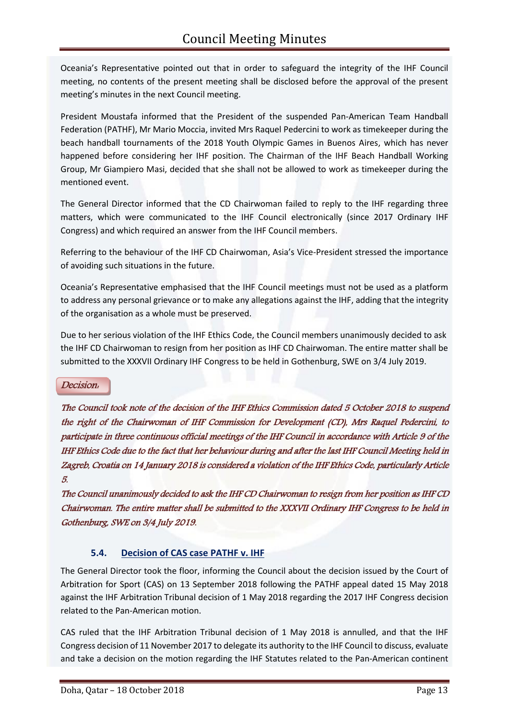Oceania's Representative pointed out that in order to safeguard the integrity of the IHF Council meeting, no contents of the present meeting shall be disclosed before the approval of the present meeting's minutes in the next Council meeting.

President Moustafa informed that the President of the suspended Pan-American Team Handball Federation (PATHF), Mr Mario Moccia, invited Mrs Raquel Pedercini to work as timekeeper during the beach handball tournaments of the 2018 Youth Olympic Games in Buenos Aires, which has never happened before considering her IHF position. The Chairman of the IHF Beach Handball Working Group, Mr Giampiero Masi, decided that she shall not be allowed to work as timekeeper during the mentioned event.

The General Director informed that the CD Chairwoman failed to reply to the IHF regarding three matters, which were communicated to the IHF Council electronically (since 2017 Ordinary IHF Congress) and which required an answer from the IHF Council members.

Referring to the behaviour of the IHF CD Chairwoman, Asia's Vice-President stressed the importance of avoiding such situations in the future.

Oceania's Representative emphasised that the IHF Council meetings must not be used as a platform to address any personal grievance or to make any allegations against the IHF, adding that the integrity of the organisation as a whole must be preserved.

Due to her serious violation of the IHF Ethics Code, the Council members unanimously decided to ask the IHF CD Chairwoman to resign from her position as IHF CD Chairwoman. The entire matter shall be submitted to the XXXVII Ordinary IHF Congress to be held in Gothenburg, SWE on 3/4 July 2019.

#### Decision:

The Council took note of the decision of the IHF Ethics Commission dated 5 October 2018 to suspend the right of the Chairwoman of IHF Commission for Development (CD), Mrs Raquel Pedercini, to participate in three continuous official meetings of the IHF Council in accordance with Article 9 of the IHF Ethics Code due to the fact that her behaviour during and after the last IHF Council Meeting held in Zagreb, Croatia on 14 January 2018 is considered a violation of the IHF Ethics Code, particularly Article 5.

The Council unanimously decided to ask the IHF CD Chairwoman to resign from her position as IHF CD Chairwoman. The entire matter shall be submitted to the XXXVII Ordinary IHF Congress to be held in Gothenburg, SWE on 3/4 July 2019.

# **5.4. Decision of CAS case PATHF v. IHF**

The General Director took the floor, informing the Council about the decision issued by the Court of Arbitration for Sport (CAS) on 13 September 2018 following the PATHF appeal dated 15 May 2018 against the IHF Arbitration Tribunal decision of 1 May 2018 regarding the 2017 IHF Congress decision related to the Pan-American motion.

CAS ruled that the IHF Arbitration Tribunal decision of 1 May 2018 is annulled, and that the IHF Congress decision of 11 November 2017 to delegate its authority to the IHF Council to discuss, evaluate and take a decision on the motion regarding the IHF Statutes related to the Pan-American continent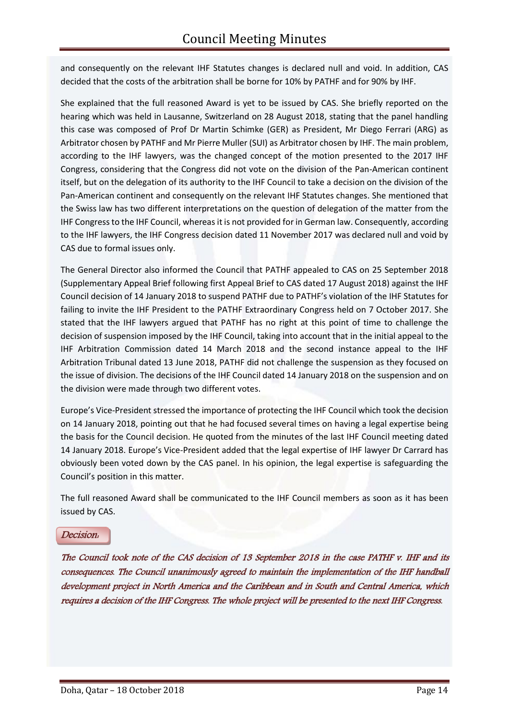and consequently on the relevant IHF Statutes changes is declared null and void. In addition, CAS decided that the costs of the arbitration shall be borne for 10% by PATHF and for 90% by IHF.

She explained that the full reasoned Award is yet to be issued by CAS. She briefly reported on the hearing which was held in Lausanne, Switzerland on 28 August 2018, stating that the panel handling this case was composed of Prof Dr Martin Schimke (GER) as President, Mr Diego Ferrari (ARG) as Arbitrator chosen by PATHF and Mr Pierre Muller (SUI) as Arbitrator chosen by IHF. The main problem, according to the IHF lawyers, was the changed concept of the motion presented to the 2017 IHF Congress, considering that the Congress did not vote on the division of the Pan-American continent itself, but on the delegation of its authority to the IHF Council to take a decision on the division of the Pan-American continent and consequently on the relevant IHF Statutes changes. She mentioned that the Swiss law has two different interpretations on the question of delegation of the matter from the IHF Congress to the IHF Council, whereas it is not provided for in German law. Consequently, according to the IHF lawyers, the IHF Congress decision dated 11 November 2017 was declared null and void by CAS due to formal issues only.

The General Director also informed the Council that PATHF appealed to CAS on 25 September 2018 (Supplementary Appeal Brief following first Appeal Brief to CAS dated 17 August 2018) against the IHF Council decision of 14 January 2018 to suspend PATHF due to PATHF's violation of the IHF Statutes for failing to invite the IHF President to the PATHF Extraordinary Congress held on 7 October 2017. She stated that the IHF lawyers argued that PATHF has no right at this point of time to challenge the decision of suspension imposed by the IHF Council, taking into account that in the initial appeal to the IHF Arbitration Commission dated 14 March 2018 and the second instance appeal to the IHF Arbitration Tribunal dated 13 June 2018, PATHF did not challenge the suspension as they focused on the issue of division. The decisions of the IHF Council dated 14 January 2018 on the suspension and on the division were made through two different votes.

Europe's Vice-President stressed the importance of protecting the IHF Council which took the decision on 14 January 2018, pointing out that he had focused several times on having a legal expertise being the basis for the Council decision. He quoted from the minutes of the last IHF Council meeting dated 14 January 2018. Europe's Vice-President added that the legal expertise of IHF lawyer Dr Carrard has obviously been voted down by the CAS panel. In his opinion, the legal expertise is safeguarding the Council's position in this matter.

The full reasoned Award shall be communicated to the IHF Council members as soon as it has been issued by CAS.

#### Decision:

The Council took note of the CAS decision of 13 September 2018 in the case PATHF v. IHF and its consequences. The Council unanimously agreed to maintain the implementation of the IHF handball development project in North America and the Caribbean and in South and Central America, which requires a decision of the IHF Congress. The whole project will be presented to the next IHF Congress.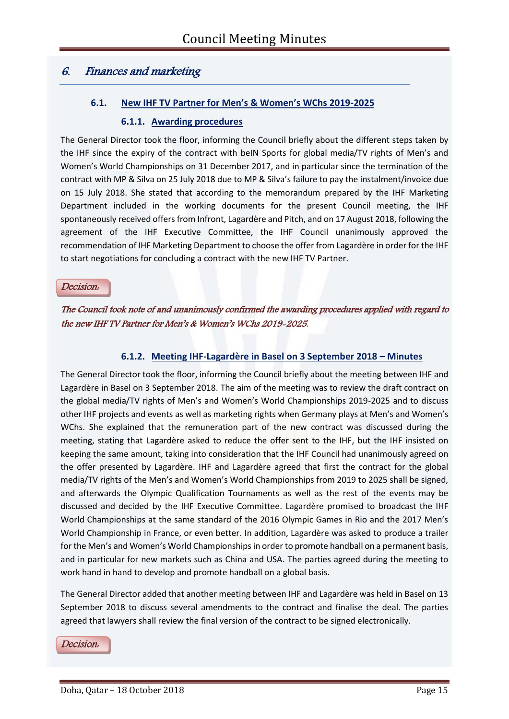# 6. Finances and marketing

# **6.1. New IHF TV Partner for Men's & Women's WChs 2019-2025**

#### **6.1.1. Awarding procedures**

The General Director took the floor, informing the Council briefly about the different steps taken by the IHF since the expiry of the contract with beIN Sports for global media/TV rights of Men's and Women's World Championships on 31 December 2017, and in particular since the termination of the contract with MP & Silva on 25 July 2018 due to MP & Silva's failure to pay the instalment/invoice due on 15 July 2018. She stated that according to the memorandum prepared by the IHF Marketing Department included in the working documents for the present Council meeting, the IHF spontaneously received offers from Infront, Lagardère and Pitch, and on 17 August 2018, following the agreement of the IHF Executive Committee, the IHF Council unanimously approved the recommendation of IHF Marketing Department to choose the offer from Lagardère in order for the IHF to start negotiations for concluding a contract with the new IHF TV Partner.

#### Decision:

# The Council took note of and unanimously confirmed the awarding procedures applied with regard to the new IHF TV Partner for Men's & Women's WChs 2019-2025.

## **6.1.2. Meeting IHF-Lagardère in Basel on 3 September 2018 – Minutes**

The General Director took the floor, informing the Council briefly about the meeting between IHF and Lagardère in Basel on 3 September 2018. The aim of the meeting was to review the draft contract on the global media/TV rights of Men's and Women's World Championships 2019-2025 and to discuss other IHF projects and events as well as marketing rights when Germany plays at Men's and Women's WChs. She explained that the remuneration part of the new contract was discussed during the meeting, stating that Lagardère asked to reduce the offer sent to the IHF, but the IHF insisted on keeping the same amount, taking into consideration that the IHF Council had unanimously agreed on the offer presented by Lagardère. IHF and Lagardère agreed that first the contract for the global media/TV rights of the Men's and Women's World Championships from 2019 to 2025 shall be signed, and afterwards the Olympic Qualification Tournaments as well as the rest of the events may be discussed and decided by the IHF Executive Committee. Lagardère promised to broadcast the IHF World Championships at the same standard of the 2016 Olympic Games in Rio and the 2017 Men's World Championship in France, or even better. In addition, Lagardère was asked to produce a trailer for the Men's and Women's World Championships in order to promote handball on a permanent basis, and in particular for new markets such as China and USA. The parties agreed during the meeting to work hand in hand to develop and promote handball on a global basis.

The General Director added that another meeting between IHF and Lagardère was held in Basel on 13 September 2018 to discuss several amendments to the contract and finalise the deal. The parties agreed that lawyers shall review the final version of the contract to be signed electronically.

#### Decision: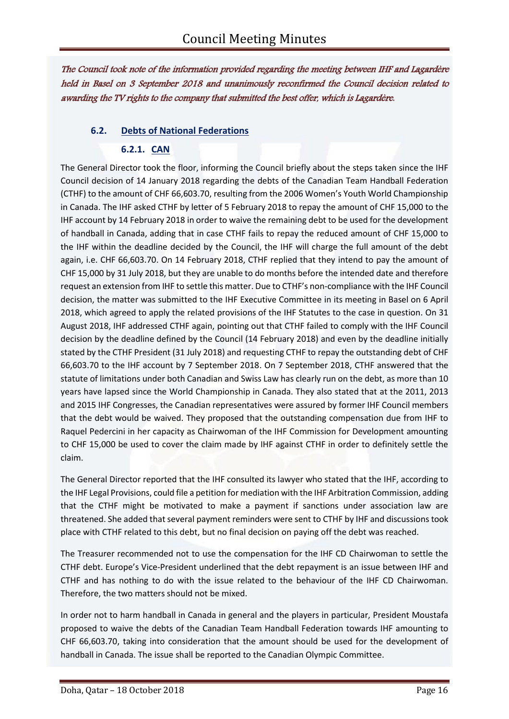The Council took note of the information provided regarding the meeting between IHF and Lagardère held in Basel on 3 September 2018 and unanimously reconfirmed the Council decision related to awarding the TV rights to the company that submitted the best offer, which is Lagardère.

# **6.2. Debts of National Federations**

# **6.2.1. CAN**

The General Director took the floor, informing the Council briefly about the steps taken since the IHF Council decision of 14 January 2018 regarding the debts of the Canadian Team Handball Federation (CTHF) to the amount of CHF 66,603.70, resulting from the 2006 Women's Youth World Championship in Canada. The IHF asked CTHF by letter of 5 February 2018 to repay the amount of CHF 15,000 to the IHF account by 14 February 2018 in order to waive the remaining debt to be used for the development of handball in Canada, adding that in case CTHF fails to repay the reduced amount of CHF 15,000 to the IHF within the deadline decided by the Council, the IHF will charge the full amount of the debt again, i.e. CHF 66,603.70. On 14 February 2018, CTHF replied that they intend to pay the amount of CHF 15,000 by 31 July 2018, but they are unable to do months before the intended date and therefore request an extension from IHF to settle this matter. Due to CTHF's non-compliance with the IHF Council decision, the matter was submitted to the IHF Executive Committee in its meeting in Basel on 6 April 2018, which agreed to apply the related provisions of the IHF Statutes to the case in question. On 31 August 2018, IHF addressed CTHF again, pointing out that CTHF failed to comply with the IHF Council decision by the deadline defined by the Council (14 February 2018) and even by the deadline initially stated by the CTHF President (31 July 2018) and requesting CTHF to repay the outstanding debt of CHF 66,603.70 to the IHF account by 7 September 2018. On 7 September 2018, CTHF answered that the statute of limitations under both Canadian and Swiss Law has clearly run on the debt, as more than 10 years have lapsed since the World Championship in Canada. They also stated that at the 2011, 2013 and 2015 IHF Congresses, the Canadian representatives were assured by former IHF Council members that the debt would be waived. They proposed that the outstanding compensation due from IHF to Raquel Pedercini in her capacity as Chairwoman of the IHF Commission for Development amounting to CHF 15,000 be used to cover the claim made by IHF against CTHF in order to definitely settle the claim.

The General Director reported that the IHF consulted its lawyer who stated that the IHF, according to the IHF Legal Provisions, could file a petition for mediation with the IHF Arbitration Commission, adding that the CTHF might be motivated to make a payment if sanctions under association law are threatened. She added that several payment reminders were sent to CTHF by IHF and discussions took place with CTHF related to this debt, but no final decision on paying off the debt was reached.

The Treasurer recommended not to use the compensation for the IHF CD Chairwoman to settle the CTHF debt. Europe's Vice-President underlined that the debt repayment is an issue between IHF and CTHF and has nothing to do with the issue related to the behaviour of the IHF CD Chairwoman. Therefore, the two matters should not be mixed.

In order not to harm handball in Canada in general and the players in particular, President Moustafa proposed to waive the debts of the Canadian Team Handball Federation towards IHF amounting to CHF 66,603.70, taking into consideration that the amount should be used for the development of handball in Canada. The issue shall be reported to the Canadian Olympic Committee.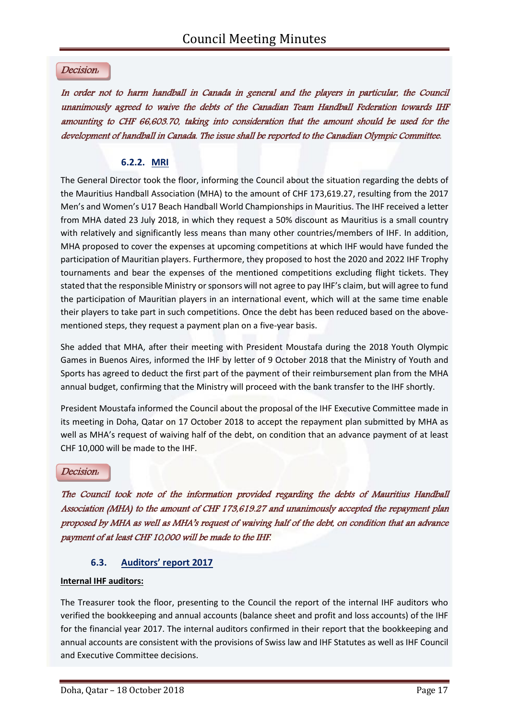#### Decision:

In order not to harm handball in Canada in general and the players in particular, the Council unanimously agreed to waive the debts of the Canadian Team Handball Federation towards IHF amounting to CHF 66,603.70, taking into consideration that the amount should be used for the development of handball in Canada. The issue shall be reported to the Canadian Olympic Committee.

## **6.2.2. MRI**

The General Director took the floor, informing the Council about the situation regarding the debts of the Mauritius Handball Association (MHA) to the amount of CHF 173,619.27, resulting from the 2017 Men's and Women's U17 Beach Handball World Championships in Mauritius. The IHF received a letter from MHA dated 23 July 2018, in which they request a 50% discount as Mauritius is a small country with relatively and significantly less means than many other countries/members of IHF. In addition, MHA proposed to cover the expenses at upcoming competitions at which IHF would have funded the participation of Mauritian players. Furthermore, they proposed to host the 2020 and 2022 IHF Trophy tournaments and bear the expenses of the mentioned competitions excluding flight tickets. They stated that the responsible Ministry or sponsors will not agree to pay IHF's claim, but will agree to fund the participation of Mauritian players in an international event, which will at the same time enable their players to take part in such competitions. Once the debt has been reduced based on the abovementioned steps, they request a payment plan on a five-year basis.

She added that MHA, after their meeting with President Moustafa during the 2018 Youth Olympic Games in Buenos Aires, informed the IHF by letter of 9 October 2018 that the Ministry of Youth and Sports has agreed to deduct the first part of the payment of their reimbursement plan from the MHA annual budget, confirming that the Ministry will proceed with the bank transfer to the IHF shortly.

President Moustafa informed the Council about the proposal of the IHF Executive Committee made in its meeting in Doha, Qatar on 17 October 2018 to accept the repayment plan submitted by MHA as well as MHA's request of waiving half of the debt, on condition that an advance payment of at least CHF 10,000 will be made to the IHF.

#### Decision:

The Council took note of the information provided regarding the debts of Mauritius Handball Association (MHA) to the amount of CHF 173,619.27 and unanimously accepted the repayment plan proposed by MHA as well as MHA's request of waiving half of the debt, on condition that an advance payment of at least CHF 10,000 will be made to the IHF.

#### **6.3. Auditors' report 2017**

#### **Internal IHF auditors:**

The Treasurer took the floor, presenting to the Council the report of the internal IHF auditors who verified the bookkeeping and annual accounts (balance sheet and profit and loss accounts) of the IHF for the financial year 2017. The internal auditors confirmed in their report that the bookkeeping and annual accounts are consistent with the provisions of Swiss law and IHF Statutes as well as IHF Council and Executive Committee decisions.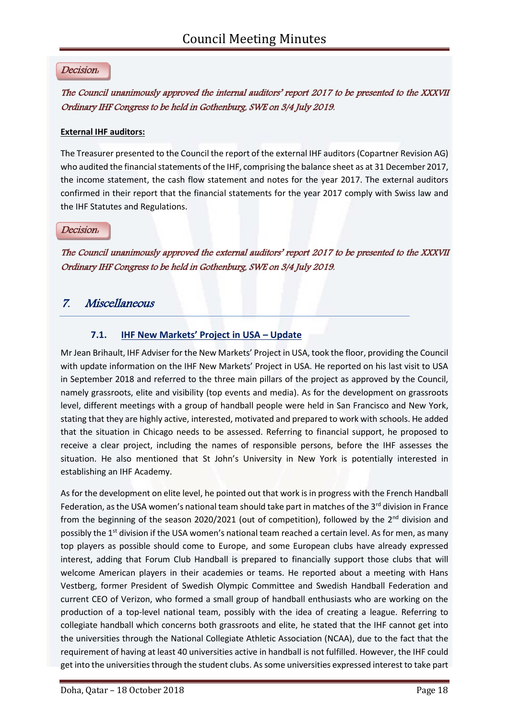### Decision:

# The Council unanimously approved the internal auditors' report 2017 to be presented to the XXXVII Ordinary IHF Congress to be held in Gothenburg, SWE on 3/4 July 2019.

#### **External IHF auditors:**

The Treasurer presented to the Council the report of the external IHF auditors (Copartner Revision AG) who audited the financial statements of the IHF, comprising the balance sheet as at 31 December 2017, the income statement, the cash flow statement and notes for the year 2017. The external auditors confirmed in their report that the financial statements for the year 2017 comply with Swiss law and the IHF Statutes and Regulations.

#### Decision:

The Council unanimously approved the external auditors' report 2017 to be presented to the XXXVII Ordinary IHF Congress to be held in Gothenburg, SWE on 3/4 July 2019.

# 7. Miscellaneous

### **7.1. IHF New Markets' Project in USA – Update**

Mr Jean Brihault, IHF Adviser for the New Markets' Project in USA, took the floor, providing the Council with update information on the IHF New Markets' Project in USA. He reported on his last visit to USA in September 2018 and referred to the three main pillars of the project as approved by the Council, namely grassroots, elite and visibility (top events and media). As for the development on grassroots level, different meetings with a group of handball people were held in San Francisco and New York, stating that they are highly active, interested, motivated and prepared to work with schools. He added that the situation in Chicago needs to be assessed. Referring to financial support, he proposed to receive a clear project, including the names of responsible persons, before the IHF assesses the situation. He also mentioned that St John's University in New York is potentially interested in establishing an IHF Academy.

As for the development on elite level, he pointed out that work is in progress with the French Handball Federation, as the USA women's national team should take part in matches of the  $3<sup>rd</sup>$  division in France from the beginning of the season 2020/2021 (out of competition), followed by the  $2<sup>nd</sup>$  division and possibly the 1<sup>st</sup> division if the USA women's national team reached a certain level. As for men, as many top players as possible should come to Europe, and some European clubs have already expressed interest, adding that Forum Club Handball is prepared to financially support those clubs that will welcome American players in their academies or teams. He reported about a meeting with Hans Vestberg, former President of Swedish Olympic Committee and Swedish Handball Federation and current CEO of Verizon, who formed a small group of handball enthusiasts who are working on the production of a top-level national team, possibly with the idea of creating a league. Referring to collegiate handball which concerns both grassroots and elite, he stated that the IHF cannot get into the universities through the National Collegiate Athletic Association (NCAA), due to the fact that the requirement of having at least 40 universities active in handball is not fulfilled. However, the IHF could get into the universities through the student clubs. As some universities expressed interest to take part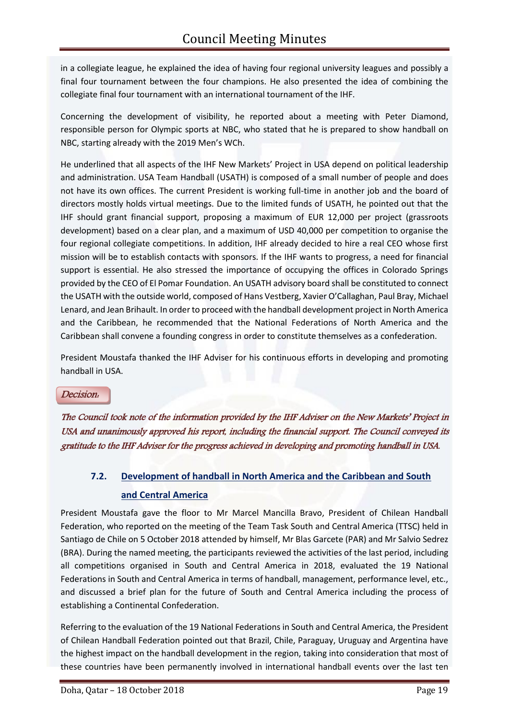in a collegiate league, he explained the idea of having four regional university leagues and possibly a final four tournament between the four champions. He also presented the idea of combining the collegiate final four tournament with an international tournament of the IHF.

Concerning the development of visibility, he reported about a meeting with Peter Diamond, responsible person for Olympic sports at NBC, who stated that he is prepared to show handball on NBC, starting already with the 2019 Men's WCh.

He underlined that all aspects of the IHF New Markets' Project in USA depend on political leadership and administration. USA Team Handball (USATH) is composed of a small number of people and does not have its own offices. The current President is working full-time in another job and the board of directors mostly holds virtual meetings. Due to the limited funds of USATH, he pointed out that the IHF should grant financial support, proposing a maximum of EUR 12,000 per project (grassroots development) based on a clear plan, and a maximum of USD 40,000 per competition to organise the four regional collegiate competitions. In addition, IHF already decided to hire a real CEO whose first mission will be to establish contacts with sponsors. If the IHF wants to progress, a need for financial support is essential. He also stressed the importance of occupying the offices in Colorado Springs provided by the CEO of El Pomar Foundation. An USATH advisory board shall be constituted to connect the USATH with the outside world, composed of Hans Vestberg, Xavier O'Callaghan, Paul Bray, Michael Lenard, and Jean Brihault. In order to proceed with the handball development project in North America and the Caribbean, he recommended that the National Federations of North America and the Caribbean shall convene a founding congress in order to constitute themselves as a confederation.

President Moustafa thanked the IHF Adviser for his continuous efforts in developing and promoting handball in USA.

#### Decision:

The Council took note of the information provided by the IHF Adviser on the New Markets' Project in USA and unanimously approved his report, including the financial support. The Council conveyed its gratitude to the IHF Adviser for the progress achieved in developing and promoting handball in USA.

# **7.2. Development of handball in North America and the Caribbean and South and Central America**

President Moustafa gave the floor to Mr Marcel Mancilla Bravo, President of Chilean Handball Federation, who reported on the meeting of the Team Task South and Central America (TTSC) held in Santiago de Chile on 5 October 2018 attended by himself, Mr Blas Garcete (PAR) and Mr Salvio Sedrez (BRA). During the named meeting, the participants reviewed the activities of the last period, including all competitions organised in South and Central America in 2018, evaluated the 19 National Federations in South and Central America in terms of handball, management, performance level, etc., and discussed a brief plan for the future of South and Central America including the process of establishing a Continental Confederation.

Referring to the evaluation of the 19 National Federations in South and Central America, the President of Chilean Handball Federation pointed out that Brazil, Chile, Paraguay, Uruguay and Argentina have the highest impact on the handball development in the region, taking into consideration that most of these countries have been permanently involved in international handball events over the last ten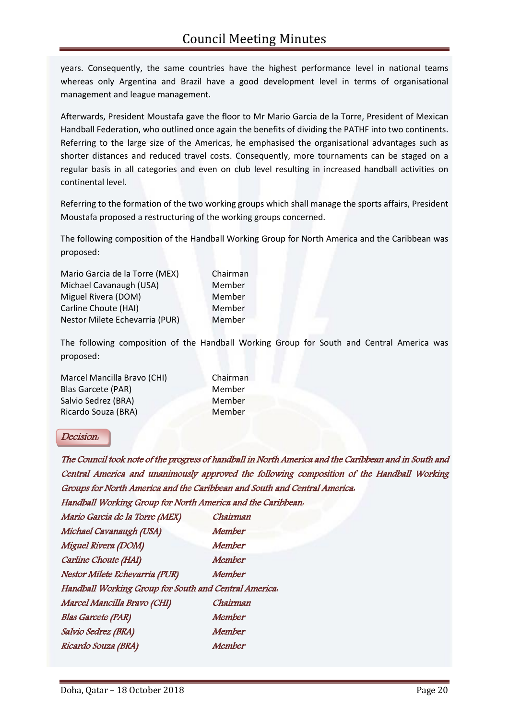years. Consequently, the same countries have the highest performance level in national teams whereas only Argentina and Brazil have a good development level in terms of organisational management and league management.

Afterwards, President Moustafa gave the floor to Mr Mario Garcia de la Torre, President of Mexican Handball Federation, who outlined once again the benefits of dividing the PATHF into two continents. Referring to the large size of the Americas, he emphasised the organisational advantages such as shorter distances and reduced travel costs. Consequently, more tournaments can be staged on a regular basis in all categories and even on club level resulting in increased handball activities on continental level.

Referring to the formation of the two working groups which shall manage the sports affairs, President Moustafa proposed a restructuring of the working groups concerned.

The following composition of the Handball Working Group for North America and the Caribbean was proposed:

| Chairman |
|----------|
| Member   |
| Member   |
| Member   |
| Member   |
|          |

The following composition of the Handball Working Group for South and Central America was proposed:

| Marcel Mancilla Bravo (CHI) | Chairman |
|-----------------------------|----------|
| <b>Blas Garcete (PAR)</b>   | Member   |
| Salvio Sedrez (BRA)         | Member   |
| Ricardo Souza (BRA)         | Member   |

# Decision:

The Council took note of the progress of handball in North America and the Caribbean and in South and Central America and unanimously approved the following composition of the Handball Working Groups for North America and the Caribbean and South and Central America:

Handball Working Group for North America and the Caribbean:

| Mario Garcia de la Torre (MEX)                        | Chairman      |  |
|-------------------------------------------------------|---------------|--|
| Michael Cavanaugh (USA)                               | <b>Member</b> |  |
| Miguel Rivera (DOM)                                   | <b>Member</b> |  |
| Carline Choute (HAI)                                  | Member        |  |
| Nestor Milete Echevarria (PUR)                        | Member        |  |
| Handball Working Group for South and Central America. |               |  |
| Marcel Mancilla Bravo (CHI)                           | Chairman      |  |
| <b>Blas Garcete (PAR)</b>                             | Member        |  |
| Salvio Sedrez (BRA)                                   | Member        |  |
| Ricardo Souza (BRA)                                   | Member        |  |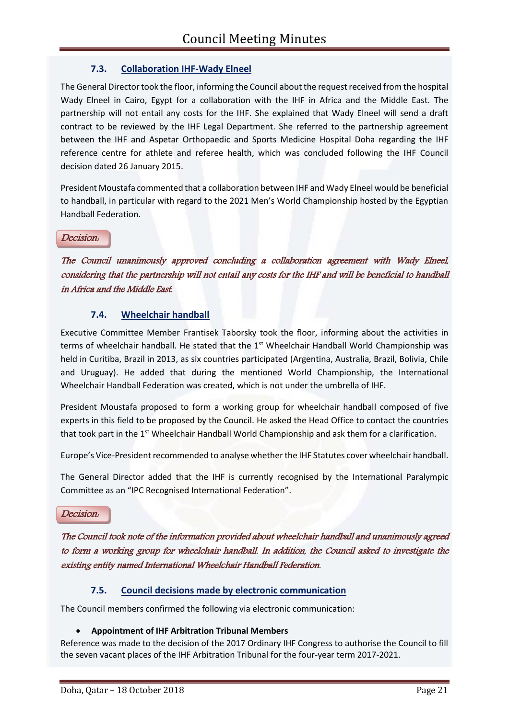# **7.3. Collaboration IHF-Wady Elneel**

The General Director took the floor, informing the Council about the request received from the hospital Wady Elneel in Cairo, Egypt for a collaboration with the IHF in Africa and the Middle East. The partnership will not entail any costs for the IHF. She explained that Wady Elneel will send a draft contract to be reviewed by the IHF Legal Department. She referred to the partnership agreement between the IHF and Aspetar Orthopaedic and Sports Medicine Hospital Doha regarding the IHF reference centre for athlete and referee health, which was concluded following the IHF Council decision dated 26 January 2015.

President Moustafa commented that a collaboration between IHF and Wady Elneel would be beneficial to handball, in particular with regard to the 2021 Men's World Championship hosted by the Egyptian Handball Federation.

Decision:

The Council unanimously approved concluding a collaboration agreement with Wady Elneel, considering that the partnership will not entail any costs for the IHF and will be beneficial to handball in Africa and the Middle East.

# **7.4. Wheelchair handball**

Executive Committee Member Frantisek Taborsky took the floor, informing about the activities in terms of wheelchair handball. He stated that the  $1<sup>st</sup>$  Wheelchair Handball World Championship was held in Curitiba, Brazil in 2013, as six countries participated (Argentina, Australia, Brazil, Bolivia, Chile and Uruguay). He added that during the mentioned World Championship, the International Wheelchair Handball Federation was created, which is not under the umbrella of IHF.

President Moustafa proposed to form a working group for wheelchair handball composed of five experts in this field to be proposed by the Council. He asked the Head Office to contact the countries that took part in the 1<sup>st</sup> Wheelchair Handball World Championship and ask them for a clarification.

Europe's Vice-President recommended to analyse whether the IHF Statutes cover wheelchair handball.

The General Director added that the IHF is currently recognised by the International Paralympic Committee as an "IPC Recognised International Federation".

Decision:

The Council took note of the information provided about wheelchair handball and unanimously agreed to form a working group for wheelchair handball. In addition, the Council asked to investigate the existing entity named International Wheelchair Handball Federation.

# **7.5. Council decisions made by electronic communication**

The Council members confirmed the following via electronic communication:

#### **Appointment of IHF Arbitration Tribunal Members**

Reference was made to the decision of the 2017 Ordinary IHF Congress to authorise the Council to fill the seven vacant places of the IHF Arbitration Tribunal for the four-year term 2017-2021.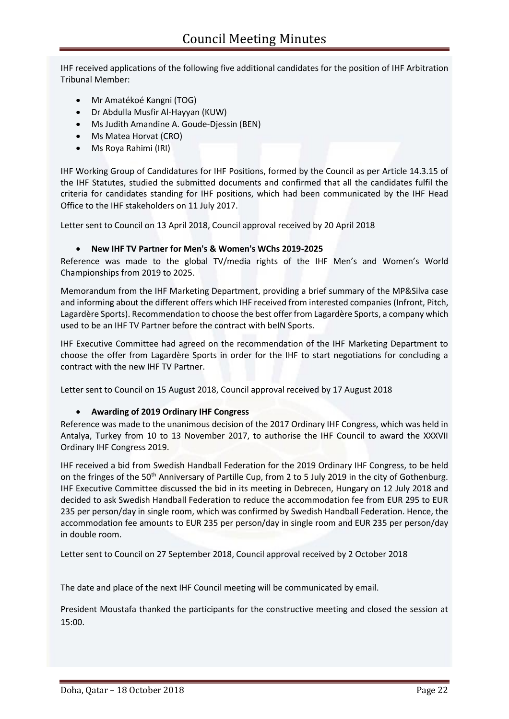IHF received applications of the following five additional candidates for the position of IHF Arbitration Tribunal Member:

- Mr Amatékoé Kangni (TOG)
- Dr Abdulla Musfir Al-Hayyan (KUW)
- Ms Judith Amandine A. Goude-Djessin (BEN)
- Ms Matea Horvat (CRO)
- Ms Roya Rahimi (IRI)

IHF Working Group of Candidatures for IHF Positions, formed by the Council as per Article 14.3.15 of the IHF Statutes, studied the submitted documents and confirmed that all the candidates fulfil the criteria for candidates standing for IHF positions, which had been communicated by the IHF Head Office to the IHF stakeholders on 11 July 2017.

Letter sent to Council on 13 April 2018, Council approval received by 20 April 2018

#### **New IHF TV Partner for Men's & Women's WChs 2019-2025**

Reference was made to the global TV/media rights of the IHF Men's and Women's World Championships from 2019 to 2025.

Memorandum from the IHF Marketing Department, providing a brief summary of the MP&Silva case and informing about the different offers which IHF received from interested companies (Infront, Pitch, Lagardère Sports). Recommendation to choose the best offer from Lagardère Sports, a company which used to be an IHF TV Partner before the contract with beIN Sports.

IHF Executive Committee had agreed on the recommendation of the IHF Marketing Department to choose the offer from Lagardère Sports in order for the IHF to start negotiations for concluding a contract with the new IHF TV Partner.

Letter sent to Council on 15 August 2018, Council approval received by 17 August 2018

#### **Awarding of 2019 Ordinary IHF Congress**

Reference was made to the unanimous decision of the 2017 Ordinary IHF Congress, which was held in Antalya, Turkey from 10 to 13 November 2017, to authorise the IHF Council to award the XXXVII Ordinary IHF Congress 2019.

IHF received a bid from Swedish Handball Federation for the 2019 Ordinary IHF Congress, to be held on the fringes of the 50<sup>th</sup> Anniversary of Partille Cup, from 2 to 5 July 2019 in the city of Gothenburg. IHF Executive Committee discussed the bid in its meeting in Debrecen, Hungary on 12 July 2018 and decided to ask Swedish Handball Federation to reduce the accommodation fee from EUR 295 to EUR 235 per person/day in single room, which was confirmed by Swedish Handball Federation. Hence, the accommodation fee amounts to EUR 235 per person/day in single room and EUR 235 per person/day in double room.

Letter sent to Council on 27 September 2018, Council approval received by 2 October 2018

The date and place of the next IHF Council meeting will be communicated by email.

President Moustafa thanked the participants for the constructive meeting and closed the session at 15:00.